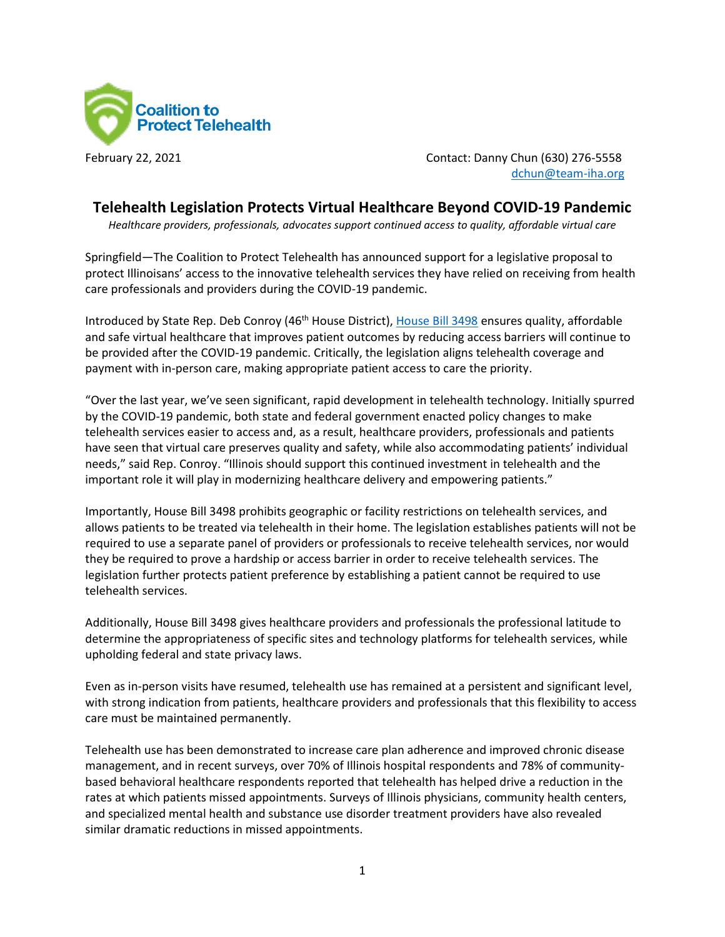

February 22, 2021 Contact: Danny Chun (630) 276-5558 [dchun@team-iha.org](mailto:dchun@team-iha.org)

## **Telehealth Legislation Protects Virtual Healthcare Beyond COVID-19 Pandemic**

*Healthcare providers, professionals, advocates support continued access to quality, affordable virtual care* 

Springfield—The Coalition to Protect Telehealth has announced support for a legislative proposal to protect Illinoisans' access to the innovative telehealth services they have relied on receiving from health care professionals and providers during the COVID-19 pandemic.

Introduced by State Rep. Deb Conroy (46th House District)[, House Bill 3498](https://www.ilga.gov/legislation/billstatus.asp?DocNum=3498&GAID=16&GA=102&DocTypeID=HB&LegID=132503&SessionID=110) ensures quality, affordable and safe virtual healthcare that improves patient outcomes by reducing access barriers will continue to be provided after the COVID-19 pandemic. Critically, the legislation aligns telehealth coverage and payment with in-person care, making appropriate patient access to care the priority.

"Over the last year, we've seen significant, rapid development in telehealth technology. Initially spurred by the COVID-19 pandemic, both state and federal government enacted policy changes to make telehealth services easier to access and, as a result, healthcare providers, professionals and patients have seen that virtual care preserves quality and safety, while also accommodating patients' individual needs," said Rep. Conroy. "Illinois should support this continued investment in telehealth and the important role it will play in modernizing healthcare delivery and empowering patients."

Importantly, House Bill 3498 prohibits geographic or facility restrictions on telehealth services, and allows patients to be treated via telehealth in their home. The legislation establishes patients will not be required to use a separate panel of providers or professionals to receive telehealth services, nor would they be required to prove a hardship or access barrier in order to receive telehealth services. The legislation further protects patient preference by establishing a patient cannot be required to use telehealth services.

Additionally, House Bill 3498 gives healthcare providers and professionals the professional latitude to determine the appropriateness of specific sites and technology platforms for telehealth services, while upholding federal and state privacy laws.

Even as in-person visits have resumed, telehealth use has remained at a persistent and significant level, with strong indication from patients, healthcare providers and professionals that this flexibility to access care must be maintained permanently.

Telehealth use has been demonstrated to increase care plan adherence and improved chronic disease management, and in recent surveys, over 70% of Illinois hospital respondents and 78% of communitybased behavioral healthcare respondents reported that telehealth has helped drive a reduction in the rates at which patients missed appointments. Surveys of Illinois physicians, community health centers, and specialized mental health and substance use disorder treatment providers have also revealed similar dramatic reductions in missed appointments.